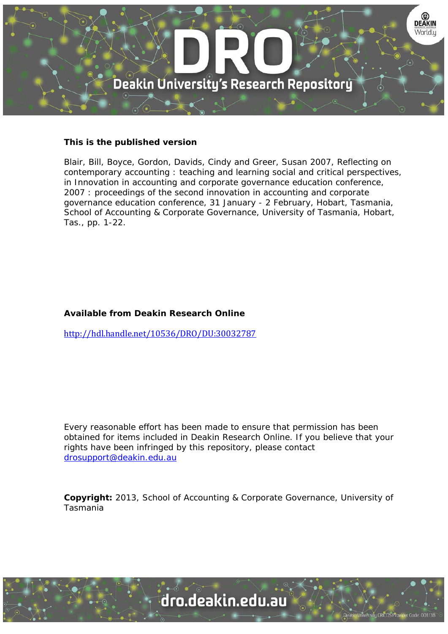

## **This is the published version**

Blair, Bill, Boyce, Gordon, Davids, Cindy and Greer, Susan 2007, Reflecting on contemporary accounting : teaching and learning social and critical perspectives, in Innovation in accounting and corporate governance education conference, 2007 : proceedings of the second innovation in accounting and corporate governance education conference, 31 January - 2 February, Hobart, Tasmania, School of Accounting & Corporate Governance, University of Tasmania, Hobart, Tas., pp. 1-22.

## **Available from Deakin Research Online**

http://hdl.handle.net/10536/DRO/DU:30032787

Every reasonable effort has been made to ensure that permission has been obtained for items included in Deakin Research Online. If you believe that your rights have been infringed by this repository, please contact drosupport@deakin.edu.au

**Copyright:** 2013, School of Accounting & Corporate Governance, University of Tasmania

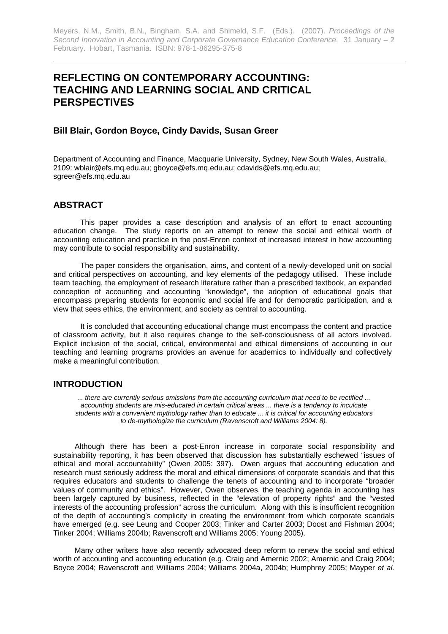# **REFLECTING ON CONTEMPORARY ACCOUNTING: TEACHING AND LEARNING SOCIAL AND CRITICAL PERSPECTIVES**

### **Bill Blair, Gordon Boyce, Cindy Davids, Susan Greer**

Department of Accounting and Finance, Macquarie University, Sydney, New South Wales, Australia, 2109: wblair@efs.mq.edu.au; gboyce@efs.mq.edu.au; cdavids@efs.mq.edu.au; sgreer@efs.mq.edu.au

### **ABSTRACT**

This paper provides a case description and analysis of an effort to enact accounting education change. The study reports on an attempt to renew the social and ethical worth of accounting education and practice in the post-Enron context of increased interest in how accounting may contribute to social responsibility and sustainability.

The paper considers the organisation, aims, and content of a newly-developed unit on social and critical perspectives on accounting, and key elements of the pedagogy utilised. These include team teaching, the employment of research literature rather than a prescribed textbook, an expanded conception of accounting and accounting "knowledge", the adoption of educational goals that encompass preparing students for economic and social life and for democratic participation, and a view that sees ethics, the environment, and society as central to accounting.

It is concluded that accounting educational change must encompass the content and practice of classroom activity, but it also requires change to the self-consciousness of all actors involved. Explicit inclusion of the social, critical, environmental and ethical dimensions of accounting in our teaching and learning programs provides an avenue for academics to individually and collectively make a meaningful contribution.

### **INTRODUCTION**

*... there are currently serious omissions from the accounting curriculum that need to be rectified ... accounting students are mis-educated in certain critical areas ... there is a tendency to inculcate students with a convenient mythology rather than to educate ... it is critical for accounting educators to de-mythologize the curriculum (Ravenscroft and Williams 2004: 8).* 

Although there has been a post-Enron increase in corporate social responsibility and sustainability reporting, it has been observed that discussion has substantially eschewed "issues of ethical and moral accountability" (Owen 2005: 397). Owen argues that accounting education and research must seriously address the moral and ethical dimensions of corporate scandals and that this requires educators and students to challenge the tenets of accounting and to incorporate "broader values of community and ethics". However, Owen observes, the teaching agenda in accounting has been largely captured by business, reflected in the "elevation of property rights" and the "vested interests of the accounting profession" across the curriculum. Along with this is insufficient recognition of the depth of accounting's complicity in creating the environment from which corporate scandals have emerged (e.g. see Leung and Cooper 2003; Tinker and Carter 2003; Doost and Fishman 2004; Tinker 2004; Williams 2004b; Ravenscroft and Williams 2005; Young 2005).

Many other writers have also recently advocated deep reform to renew the social and ethical worth of accounting and accounting education (e.g. Craig and Amernic 2002; Amernic and Craig 2004; Boyce 2004; Ravenscroft and Williams 2004; Williams 2004a, 2004b; Humphrey 2005; Mayper *et al.*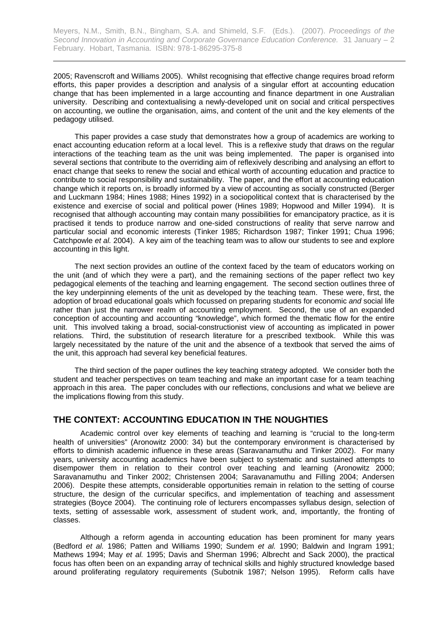2005; Ravenscroft and Williams 2005). Whilst recognising that effective change requires broad reform efforts, this paper provides a description and analysis of a singular effort at accounting education change that has been implemented in a large accounting and finance department in one Australian university. Describing and contextualising a newly-developed unit on social and critical perspectives on accounting, we outline the organisation, aims, and content of the unit and the key elements of the pedagogy utilised.

This paper provides a case study that demonstrates how a group of academics are working to enact accounting education reform at a local level. This is a reflexive study that draws on the regular interactions of the teaching team as the unit was being implemented. The paper is organised into several sections that contribute to the overriding aim of reflexively describing and analysing an effort to enact change that seeks to renew the social and ethical worth of accounting education and practice to contribute to social responsibility and sustainability. The paper, and the effort at accounting education change which it reports on, is broadly informed by a view of accounting as socially constructed (Berger and Luckmann 1984; Hines 1988; Hines 1992) in a sociopolitical context that is characterised by the existence and exercise of social and political power (Hines 1989; Hopwood and Miller 1994). It is recognised that although accounting may contain many possibilities for emancipatory practice, as it is practised it tends to produce narrow and one-sided constructions of reality that serve narrow and particular social and economic interests (Tinker 1985; Richardson 1987; Tinker 1991; Chua 1996; Catchpowle *et al.* 2004). A key aim of the teaching team was to allow our students to see and explore accounting in this light.

The next section provides an outline of the context faced by the team of educators working on the unit (and of which they were a part), and the remaining sections of the paper reflect two key pedagogical elements of the teaching and learning engagement. The second section outlines three of the key underpinning elements of the unit as developed by the teaching team. These were, first, the adoption of broad educational goals which focussed on preparing students for economic *and* social life rather than just the narrower realm of accounting employment. Second, the use of an expanded conception of accounting and accounting "knowledge", which formed the thematic flow for the entire unit. This involved taking a broad, social-constructionist view of accounting as implicated in power relations. Third, the substitution of research literature for a prescribed textbook. While this was largely necessitated by the nature of the unit and the absence of a textbook that served the aims of the unit, this approach had several key beneficial features.

The third section of the paper outlines the key teaching strategy adopted. We consider both the student and teacher perspectives on team teaching and make an important case for a team teaching approach in this area. The paper concludes with our reflections, conclusions and what we believe are the implications flowing from this study.

## **THE CONTEXT: ACCOUNTING EDUCATION IN THE NOUGHTIES**

Academic control over key elements of teaching and learning is "crucial to the long-term health of universities" (Aronowitz 2000: 34) but the contemporary environment is characterised by efforts to diminish academic influence in these areas (Saravanamuthu and Tinker 2002). For many years, university accounting academics have been subject to systematic and sustained attempts to disempower them in relation to their control over teaching and learning (Aronowitz 2000; Saravanamuthu and Tinker 2002; Christensen 2004; Saravanamuthu and Filling 2004; Andersen 2006). Despite these attempts, considerable opportunities remain in relation to the setting of course structure, the design of the curricular specifics, and implementation of teaching and assessment strategies (Boyce 2004). The continuing role of lecturers encompasses syllabus design, selection of texts, setting of assessable work, assessment of student work, and, importantly, the fronting of classes.

Although a reform agenda in accounting education has been prominent for many years (Bedford *et al.* 1986; Patten and Williams 1990; Sundem *et al.* 1990; Baldwin and Ingram 1991; Mathews 1994; May *et al.* 1995; Davis and Sherman 1996; Albrecht and Sack 2000), the practical focus has often been on an expanding array of technical skills and highly structured knowledge based around proliferating regulatory requirements (Subotnik 1987; Nelson 1995). Reform calls have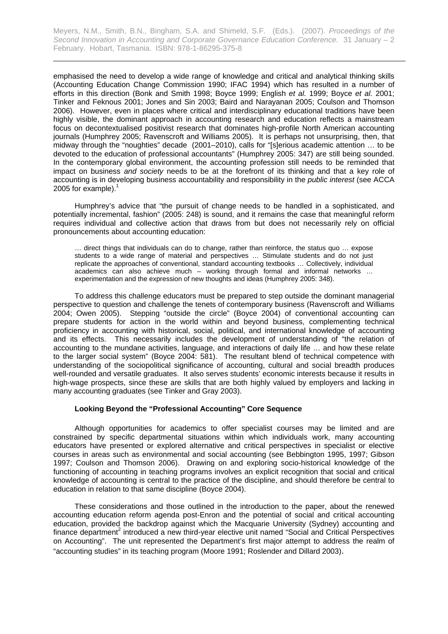emphasised the need to develop a wide range of knowledge and critical and analytical thinking skills (Accounting Education Change Commission 1990; IFAC 1994) which has resulted in a number of efforts in this direction (Bonk and Smith 1998; Boyce 1999; English *et al.* 1999; Boyce *et al.* 2001; Tinker and Feknous 2001; Jones and Sin 2003; Baird and Narayanan 2005; Coulson and Thomson 2006). However, even in places where critical and interdisciplinary educational traditions have been highly visible, the dominant approach in accounting research and education reflects a mainstream focus on decontextualised positivist research that dominates high-profile North American accounting journals (Humphrey 2005; Ravenscroft and Williams 2005). It is perhaps not unsurprising, then, that midway through the "noughties" decade (2001–2010), calls for "[s]erious academic attention … to be devoted to the education of professional accountants" (Humphrey 2005: 347) are still being sounded. In the contemporary global environment, the accounting profession still needs to be reminded that impact on business *and society* needs to be at the forefront of its thinking and that a key role of accounting is in developing business accountability and responsibility in the *public interest* (see ACCA 2005 for example).<sup>1</sup>

Humphrey's advice that "the pursuit of change needs to be handled in a sophisticated, and potentially incremental, fashion" (2005: 248) is sound, and it remains the case that meaningful reform requires individual and collective action that draws from but does not necessarily rely on official pronouncements about accounting education:

… direct things that individuals can do to change, rather than reinforce, the status quo … expose students to a wide range of material and perspectives … Stimulate students and do not just replicate the approaches of conventional, standard accounting textbooks … Collectively, individual academics can also achieve much – working through formal and informal networks … experimentation and the expression of new thoughts and ideas (Humphrey 2005: 348).

To address this challenge educators must be prepared to step outside the dominant managerial perspective to question and challenge the tenets of contemporary business (Ravenscroft and Williams 2004; Owen 2005). Stepping "outside the circle" (Boyce 2004) of conventional accounting can prepare students for action in the world within and beyond business, complementing technical proficiency in accounting with historical, social, political, and international knowledge of accounting and its effects. This necessarily includes the development of understanding of "the relation of accounting to the mundane activities, language, and interactions of daily life … and how these relate to the larger social system" (Boyce 2004: 581). The resultant blend of technical competence with understanding of the sociopolitical significance of accounting, cultural and social breadth produces well-rounded and versatile graduates. It also serves students' economic interests because it results in high-wage prospects, since these are skills that are both highly valued by employers and lacking in many accounting graduates (see Tinker and Gray 2003).

### **Looking Beyond the "Professional Accounting" Core Sequence**

Although opportunities for academics to offer specialist courses may be limited and are constrained by specific departmental situations within which individuals work, many accounting educators have presented or explored alternative and critical perspectives in specialist or elective courses in areas such as environmental and social accounting (see Bebbington 1995, 1997; Gibson 1997; Coulson and Thomson 2006). Drawing on and exploring socio-historical knowledge of the functioning of accounting in teaching programs involves an explicit recognition that social and critical knowledge of accounting is central to the practice of the discipline, and should therefore be central to education in relation to that same discipline (Boyce 2004).

These considerations and those outlined in the introduction to the paper, about the renewed accounting education reform agenda post-Enron and the potential of social and critical accounting education, provided the backdrop against which the Macquarie University (Sydney) accounting and finance department<sup>2</sup> introduced a new third-year elective unit named "Social and Critical Perspectives on Accounting". The unit represented the Department's first major attempt to address the realm of "accounting studies" in its teaching program (Moore 1991; Roslender and Dillard 2003).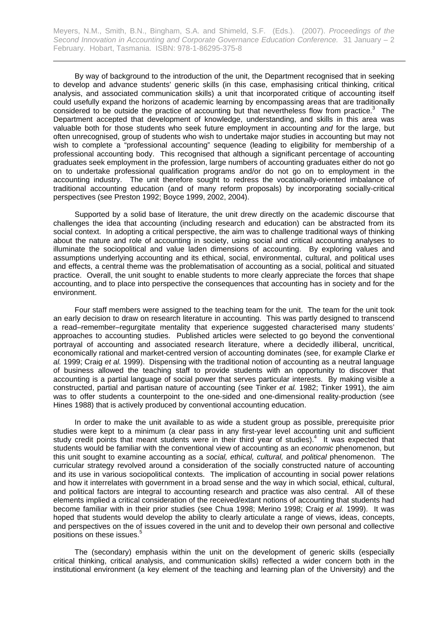By way of background to the introduction of the unit, the Department recognised that in seeking to develop and advance students' generic skills (in this case, emphasising critical thinking, critical analysis, and associated communication skills) a unit that incorporated critique of accounting itself could usefully expand the horizons of academic learning by encompassing areas that are traditionally considered to be outside the practice of accounting but that nevertheless flow from practice. $3$  The Department accepted that development of knowledge, understanding, and skills in this area was valuable both for those students who seek future employment in accounting *and* for the large, but often unrecognised, group of students who wish to undertake major studies in accounting but may not wish to complete a "professional accounting" sequence (leading to eligibility for membership of a professional accounting body. This recognised that although a significant percentage of accounting graduates seek employment in the profession, large numbers of accounting graduates either do not go on to undertake professional qualification programs and/or do not go on to employment in the accounting industry. The unit therefore sought to redress the vocationally-oriented imbalance of traditional accounting education (and of many reform proposals) by incorporating socially-critical perspectives (see Preston 1992; Boyce 1999, 2002, 2004).

Supported by a solid base of literature, the unit drew directly on the academic discourse that challenges the idea that accounting (including research and education) can be abstracted from its social context. In adopting a critical perspective, the aim was to challenge traditional ways of thinking about the nature and role of accounting in society, using social and critical accounting analyses to illuminate the sociopolitical and value laden dimensions of accounting. By exploring values and assumptions underlying accounting and its ethical, social, environmental, cultural, and political uses and effects, a central theme was the problematisation of accounting as a social, political and situated practice. Overall, the unit sought to enable students to more clearly appreciate the forces that shape accounting, and to place into perspective the consequences that accounting has in society and for the environment.

Four staff members were assigned to the teaching team for the unit. The team for the unit took an early decision to draw on research literature in accounting. This was partly designed to transcend a read–remember–regurgitate mentality that experience suggested characterised many students' approaches to accounting studies. Published articles were selected to go beyond the conventional portrayal of accounting and associated research literature, where a decidedly illiberal, uncritical, economically rational and market-centred version of accounting dominates (see, for example Clarke *et al.* 1999; Craig *et al.* 1999). Dispensing with the traditional notion of accounting as a neutral language of business allowed the teaching staff to provide students with an opportunity to discover that accounting is a partial language of social power that serves particular interests. By making visible a constructed, partial and partisan nature of accounting (see Tinker *et al.* 1982; Tinker 1991), the aim was to offer students a counterpoint to the one-sided and one-dimensional reality-production (see Hines 1988) that is actively produced by conventional accounting education.

In order to make the unit available to as wide a student group as possible, prerequisite prior studies were kept to a minimum (a clear pass in any first-year level accounting unit and sufficient study credit points that meant students were in their third year of studies).<sup>4</sup> It was expected that students would be familiar with the conventional view of accounting as an *economic* phenomenon, but this unit sought to examine accounting as a *social, ethical, cultural,* and *political* phenomenon. The curricular strategy revolved around a consideration of the socially constructed nature of accounting and its use in various sociopolitical contexts. The implication of accounting in social power relations and how it interrelates with government in a broad sense and the way in which social, ethical, cultural, and political factors are integral to accounting research and practice was also central. All of these elements implied a critical consideration of the received/extant notions of accounting that students had become familiar with in their prior studies (see Chua 1998; Merino 1998; Craig *et al.* 1999). It was hoped that students would develop the ability to clearly articulate a range of views, ideas, concepts, and perspectives on the of issues covered in the unit and to develop their own personal and collective positions on these issues.<sup>5</sup>

The (secondary) emphasis within the unit on the development of generic skills (especially critical thinking, critical analysis, and communication skills) reflected a wider concern both in the institutional environment (a key element of the teaching and learning plan of the University) and the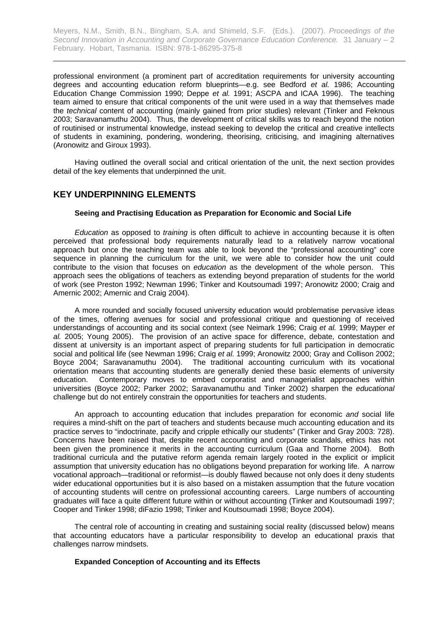professional environment (a prominent part of accreditation requirements for university accounting degrees and accounting education reform blueprints—e.g. see Bedford *et al.* 1986; Accounting Education Change Commission 1990; Deppe *et al.* 1991; ASCPA and ICAA 1996). The teaching team aimed to ensure that critical components of the unit were used in a way that themselves made the *technical* content of accounting (mainly gained from prior studies) relevant (Tinker and Feknous 2003; Saravanamuthu 2004). Thus, the development of critical skills was to reach beyond the notion of routinised or instrumental knowledge, instead seeking to develop the critical and creative intellects of students in examining, pondering, wondering, theorising, criticising, and imagining alternatives (Aronowitz and Giroux 1993).

Having outlined the overall social and critical orientation of the unit, the next section provides detail of the key elements that underpinned the unit.

## **KEY UNDERPINNING ELEMENTS**

#### **Seeing and Practising Education as Preparation for Economic and Social Life**

*Education* as opposed to *training* is often difficult to achieve in accounting because it is often perceived that professional body requirements naturally lead to a relatively narrow vocational approach but once the teaching team was able to look beyond the "professional accounting" core sequence in planning the curriculum for the unit, we were able to consider how the unit could contribute to the vision that focuses on *education* as the development of the whole person. This approach sees the obligations of teachers as extending beyond preparation of students for the world of work (see Preston 1992; Newman 1996; Tinker and Koutsoumadi 1997; Aronowitz 2000; Craig and Amernic 2002; Amernic and Craig 2004).

A more rounded and socially focused university education would problematise pervasive ideas of the times, offering avenues for social and professional critique and questioning of received understandings of accounting and its social context (see Neimark 1996; Craig *et al.* 1999; Mayper *et al.* 2005; Young 2005). The provision of an active space for difference, debate, contestation and dissent at university is an important aspect of preparing students for full participation in democratic social and political life (see Newman 1996; Craig *et al.* 1999; Aronowitz 2000; Gray and Collison 2002; Boyce 2004; Saravanamuthu 2004). The traditional accounting curriculum with its vocational orientation means that accounting students are generally denied these basic elements of university education. Contemporary moves to embed corporatist and managerialist approaches within universities (Boyce 2002; Parker 2002; Saravanamuthu and Tinker 2002) sharpen the *educational* challenge but do not entirely constrain the opportunities for teachers and students.

An approach to accounting education that includes preparation for economic *and* social life requires a mind-shift on the part of teachers and students because much accounting education and its practice serves to "indoctrinate, pacify and cripple ethically our students" (Tinker and Gray 2003: 728). Concerns have been raised that, despite recent accounting and corporate scandals, ethics has not been given the prominence it merits in the accounting curriculum (Gaa and Thorne 2004). Both traditional curricula and the putative reform agenda remain largely rooted in the explicit or implicit assumption that university education has no obligations beyond preparation for working life. A narrow vocational approach—traditional or reformist—is doubly flawed because not only does it deny students wider educational opportunities but it is also based on a mistaken assumption that the future vocation of accounting students will centre on professional accounting careers. Large numbers of accounting graduates will face a quite different future within or without accounting (Tinker and Koutsoumadi 1997; Cooper and Tinker 1998; diFazio 1998; Tinker and Koutsoumadi 1998; Boyce 2004).

The central role of accounting in creating and sustaining social reality (discussed below) means that accounting educators have a particular responsibility to develop an educational praxis that challenges narrow mindsets.

#### **Expanded Conception of Accounting and its Effects**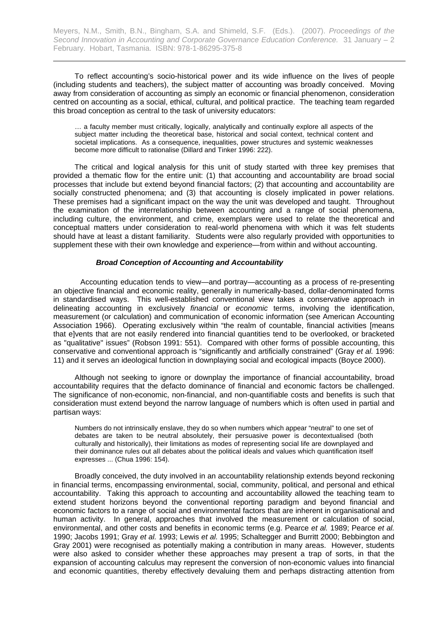To reflect accounting's socio-historical power and its wide influence on the lives of people (including students and teachers), the subject matter of accounting was broadly conceived. Moving away from consideration of accounting as simply an economic or financial phenomenon, consideration centred on accounting as a social, ethical, cultural, and political practice. The teaching team regarded this broad conception as central to the task of university educators:

… a faculty member must critically, logically, analytically and continually explore all aspects of the subject matter including the theoretical base, historical and social context, technical content and societal implications. As a consequence, inequalities, power structures and systemic weaknesses become more difficult to rationalise (Dillard and Tinker 1996: 222).

The critical and logical analysis for this unit of study started with three key premises that provided a thematic flow for the entire unit: (1) that accounting and accountability are broad social processes that include but extend beyond financial factors; (2) that accounting and accountability are socially constructed phenomena; and (3) that accounting is closely implicated in power relations. These premises had a significant impact on the way the unit was developed and taught. Throughout the examination of the interrelationship between accounting and a range of social phenomena, including culture, the environment, and crime, exemplars were used to relate the theoretical and conceptual matters under consideration to real-world phenomena with which it was felt students should have at least a distant familiarity. Students were also regularly provided with opportunities to supplement these with their own knowledge and experience—from within and without accounting.

#### *Broad Conception of Accounting and Accountability*

Accounting education tends to view—and portray—accounting as a process of re-presenting an objective financial and economic reality, generally in numerically-based, dollar-denominated forms in standardised ways. This well-established conventional view takes a conservative approach in delineating accounting in exclusively *financial* or *economic* terms, involving the identification, measurement (or calculation) and communication of economic information (see American Accounting Association 1966). Operating exclusively within "the realm of countable, financial activities [means that e]vents that are not easily rendered into financial quantities tend to be overlooked, or bracketed as "qualitative" issues" (Robson 1991: 551). Compared with other forms of possible accounting, this conservative and conventional approach is "significantly and artificially constrained" (Gray *et al.* 1996: 11) and it serves an ideological function in downplaying social and ecological impacts (Boyce 2000).

Although not seeking to ignore or downplay the importance of financial accountability, broad accountability requires that the defacto dominance of financial and economic factors be challenged. The significance of non-economic, non-financial, and non-quantifiable costs and benefits is such that consideration must extend beyond the narrow language of numbers which is often used in partial and partisan ways:

Numbers do not intrinsically enslave, they do so when numbers which appear "neutral" to one set of debates are taken to be neutral absolutely, their persuasive power is decontextualised (both culturally and historically), their limitations as modes of representing social life are downplayed and their dominance rules out all debates about the political ideals and values which quantification itself expresses ... (Chua 1996: 154).

 Broadly conceived, the duty involved in an accountability relationship extends beyond reckoning in financial terms, encompassing environmental, social, community, political, and personal and ethical accountability. Taking this approach to accounting and accountability allowed the teaching team to extend student horizons beyond the conventional reporting paradigm and beyond financial and economic factors to a range of social and environmental factors that are inherent in organisational and human activity. In general, approaches that involved the measurement or calculation of social, environmental, and other costs and benefits in economic terms (e.g. Pearce *et al.* 1989; Pearce *et al.* 1990; Jacobs 1991; Gray *et al.* 1993; Lewis *et al.* 1995; Schaltegger and Burritt 2000; Bebbington and Gray 2001) were recognised as potentially making a contribution in many areas. However, students were also asked to consider whether these approaches may present a trap of sorts, in that the expansion of accounting calculus may represent the conversion of non-economic values into financial and economic quantities, thereby effectively devaluing them and perhaps distracting attention from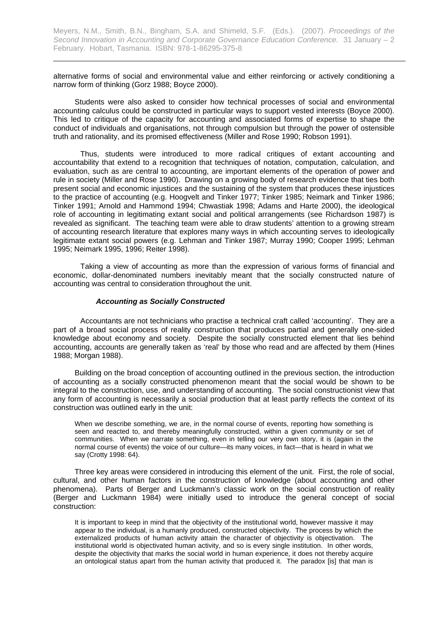alternative forms of social and environmental value and either reinforcing or actively conditioning a narrow form of thinking (Gorz 1988; Boyce 2000).

 Students were also asked to consider how technical processes of social and environmental accounting calculus could be constructed in particular ways to support vested interests (Boyce 2000). This led to critique of the capacity for accounting and associated forms of expertise to shape the conduct of individuals and organisations, not through compulsion but through the power of ostensible truth and rationality, and its promised effectiveness (Miller and Rose 1990; Robson 1991).

Thus, students were introduced to more radical critiques of extant accounting and accountability that extend to a recognition that techniques of notation, computation, calculation, and evaluation, such as are central to accounting, are important elements of the operation of power and rule in society (Miller and Rose 1990). Drawing on a growing body of research evidence that ties both present social and economic injustices and the sustaining of the system that produces these injustices to the practice of accounting (e.g. Hoogvelt and Tinker 1977; Tinker 1985; Neimark and Tinker 1986; Tinker 1991; Arnold and Hammond 1994; Chwastiak 1998; Adams and Harte 2000), the ideological role of accounting in legitimating extant social and political arrangements (see Richardson 1987) is revealed as significant. The teaching team were able to draw students' attention to a growing stream of accounting research literature that explores many ways in which accounting serves to ideologically legitimate extant social powers (e.g. Lehman and Tinker 1987; Murray 1990; Cooper 1995; Lehman 1995; Neimark 1995, 1996; Reiter 1998).

Taking a view of accounting as more than the expression of various forms of financial and economic, dollar-denominated numbers inevitably meant that the socially constructed nature of accounting was central to consideration throughout the unit.

#### *Accounting as Socially Constructed*

Accountants are not technicians who practise a technical craft called 'accounting'. They are a part of a broad social process of reality construction that produces partial and generally one-sided knowledge about economy and society. Despite the socially constructed element that lies behind accounting, accounts are generally taken as 'real' by those who read and are affected by them (Hines 1988; Morgan 1988).

Building on the broad conception of accounting outlined in the previous section, the introduction of accounting as a socially constructed phenomenon meant that the social would be shown to be integral to the construction, use, and understanding of accounting. The social constructionist view that any form of accounting is necessarily a social production that at least partly reflects the context of its construction was outlined early in the unit:

When we describe something, we are, in the normal course of events, reporting how something is seen and reacted to, and thereby meaningfully constructed, within a given community or set of communities. When we narrate something, even in telling our very own story, it is (again in the normal course of events) the voice of our culture—its many voices, in fact—that is heard in what we say (Crotty 1998: 64).

Three key areas were considered in introducing this element of the unit. First, the role of social, cultural, and other human factors in the construction of knowledge (about accounting and other phenomena). Parts of Berger and Luckmann's classic work on the social construction of reality (Berger and Luckmann 1984) were initially used to introduce the general concept of social construction:

It is important to keep in mind that the objectivity of the institutional world, however massive it may appear to the individual, is a humanly produced, constructed objectivity. The process by which the externalized products of human activity attain the character of objectivity is objectivation. The institutional world is objectivated human activity, and so is every single institution. In other words, despite the objectivity that marks the social world in human experience, it does not thereby acquire an ontological status apart from the human activity that produced it. The paradox [is] that man is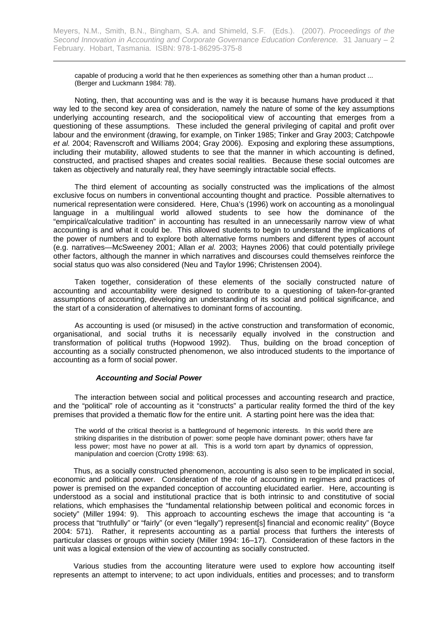capable of producing a world that he then experiences as something other than a human product ... (Berger and Luckmann 1984: 78).

Noting, then, that accounting was and is the way it is because humans have produced it that way led to the second key area of consideration, namely the nature of some of the key assumptions underlying accounting research, and the sociopolitical view of accounting that emerges from a questioning of these assumptions. These included the general privileging of capital and profit over labour and the environment (drawing, for example, on Tinker 1985; Tinker and Gray 2003; Catchpowle *et al.* 2004; Ravenscroft and Williams 2004; Gray 2006). Exposing and exploring these assumptions, including their mutability, allowed students to see that the manner in which accounting is defined, constructed, and practised shapes and creates social realities. Because these social outcomes are taken as objectively and naturally real, they have seemingly intractable social effects.

The third element of accounting as socially constructed was the implications of the almost exclusive focus on numbers in conventional accounting thought and practice. Possible alternatives to numerical representation were considered. Here, Chua's (1996) work on accounting as a monolingual language in a multilingual world allowed students to see how the dominance of the "empirical/calculative tradition" in accounting has resulted in an unnecessarily narrow view of what accounting is and what it could be. This allowed students to begin to understand the implications of the power of numbers and to explore both alternative forms numbers and different types of account (e.g. narratives—McSweeney 2001; Allan *et al.* 2003; Haynes 2006) that could potentially privilege other factors, although the manner in which narratives and discourses could themselves reinforce the social status quo was also considered (Neu and Taylor 1996; Christensen 2004).

Taken together, consideration of these elements of the socially constructed nature of accounting and accountability were designed to contribute to a questioning of taken-for-granted assumptions of accounting, developing an understanding of its social and political significance, and the start of a consideration of alternatives to dominant forms of accounting.

As accounting is used (or misused) in the active construction and transformation of economic, organisational, and social truths it is necessarily equally involved in the construction and transformation of political truths (Hopwood 1992). Thus, building on the broad conception of accounting as a socially constructed phenomenon, we also introduced students to the importance of accounting as a form of social power.

#### *Accounting and Social Power*

The interaction between social and political processes and accounting research and practice, and the "political" role of accounting as it "constructs" a particular reality formed the third of the key premises that provided a thematic flow for the entire unit. A starting point here was the idea that:

The world of the critical theorist is a battleground of hegemonic interests. In this world there are striking disparities in the distribution of power: some people have dominant power; others have far less power; most have no power at all. This is a world torn apart by dynamics of oppression, manipulation and coercion (Crotty 1998: 63).

Thus, as a socially constructed phenomenon, accounting is also seen to be implicated in social, economic and political power. Consideration of the role of accounting in regimes and practices of power is premised on the expanded conception of accounting elucidated earlier. Here, accounting is understood as a social and institutional practice that is both intrinsic to and constitutive of social relations, which emphasises the "fundamental relationship between political and economic forces in society" (Miller 1994: 9). This approach to accounting eschews the image that accounting is "a process that "truthfully" or "fairly" (or even "legally") represent[s] financial and economic reality" (Boyce 2004: 571). Rather, it represents accounting as a partial process that furthers the interests of particular classes or groups within society (Miller 1994: 16–17). Consideration of these factors in the unit was a logical extension of the view of accounting as socially constructed.

Various studies from the accounting literature were used to explore how accounting itself represents an attempt to intervene; to act upon individuals, entities and processes; and to transform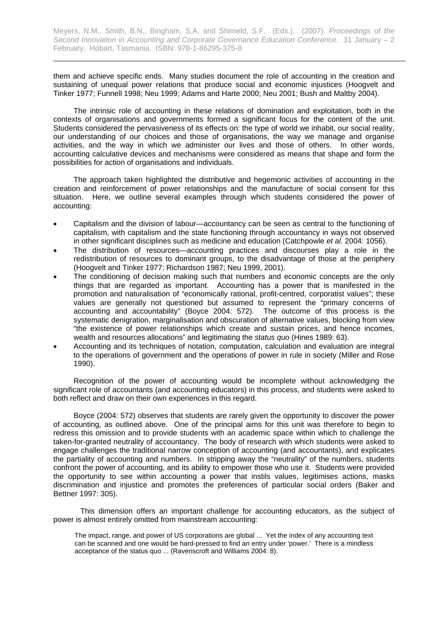them and achieve specific ends. Many studies document the role of accounting in the creation and sustaining of unequal power relations that produce social and economic injustices (Hoogvelt and Tinker 1977; Funnell 1998; Neu 1999; Adams and Harte 2000; Neu 2001; Bush and Maltby 2004).

The intrinsic role of accounting in these relations of domination and exploitation, both in the contexts of organisations and governments formed a significant focus for the content of the unit. Students considered the pervasiveness of its effects on: the type of world we inhabit, our social reality, our understanding of our choices and those of organisations, the way we manage and organise activities, and the way in which we administer our lives and those of others. In other words, accounting calculative devices and mechanisms were considered as means that shape and form the possibilities for action of organisations and individuals.

The approach taken highlighted the distributive and hegemonic activities of accounting in the creation and reinforcement of power relationships and the manufacture of social consent for this situation. Here, we outline several examples through which students considered the power of accounting:

- Capitalism and the division of labour—accountancy can be seen as central to the functioning of capitalism, with capitalism and the state functioning through accountancy in ways not observed in other significant disciplines such as medicine and education (Catchpowle *et al.* 2004: 1056).
- The distribution of resources—accounting practices and discourses play a role in the redistribution of resources to dominant groups, to the disadvantage of those at the periphery (Hoogvelt and Tinker 1977; Richardson 1987; Neu 1999, 2001).
- The conditioning of decision making such that numbers and economic concepts are the only things that are regarded as important. Accounting has a power that is manifested in the promotion and naturalisation of "economically rational, profit-centred, corporatist values"; these values are generally not questioned but assumed to represent the "primary concerns of accounting and accountability" (Boyce 2004: 572). The outcome of this process is the systematic denigration, marginalisation and obscuration of alternative values, blocking from view "the existence of power relationships which create and sustain prices, and hence incomes, wealth and resources allocations" and legitimating the *status quo* (Hines 1989: 63).
- Accounting and its techniques of notation, computation, calculation and evaluation are integral to the operations of government and the operations of power in rule in society (Miller and Rose 1990).

Recognition of the power of accounting would be incomplete without acknowledging the significant role of accountants (and accounting educators) in this process, and students were asked to both reflect and draw on their own experiences in this regard.

Boyce (2004: 572) observes that students are rarely given the opportunity to discover the power of accounting, as outlined above. One of the principal aims for this unit was therefore to begin to redress this omission and to provide students with an academic space within which to challenge the taken-for-granted neutrality of accountancy. The body of research with which students were asked to engage challenges the traditional narrow conception of accounting (and accountants), and explicates the partiality of accounting and numbers. In stripping away the "neutrality" of the numbers, students confront the power of accounting, and its ability to empower those who use it. Students were provided the opportunity to see within accounting a power that instils values, legitimises actions, masks discrimination and injustice and promotes the preferences of particular social orders (Baker and Bettner 1997: 305).

This dimension offers an important challenge for accounting educators, as the subject of power is almost entirely omitted from mainstream accounting:

The impact, range, and power of US corporations are global ... Yet the index of any accounting text can be scanned and one would be hard-pressed to find an entry under 'power.' There is a mindless acceptance of the status quo ... (Ravenscroft and Williams 2004: 8).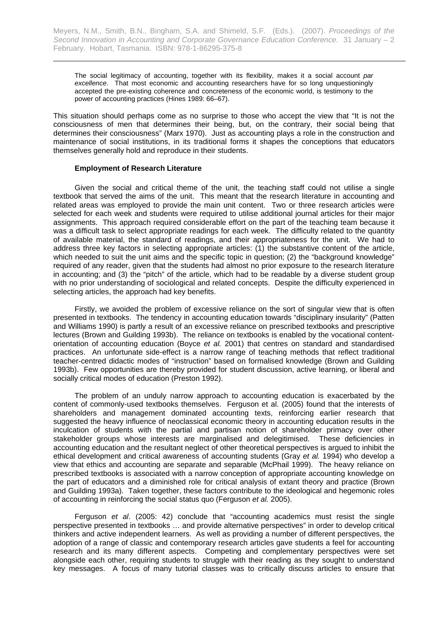The social legitimacy of accounting, together with its flexibility, makes it a social account *par excellence*. That most economic and accounting researchers have for so long unquestioningly accepted the pre-existing coherence and concreteness of the economic world, is testimony to the power of accounting practices (Hines 1989: 66–67).

This situation should perhaps come as no surprise to those who accept the view that "It is not the consciousness of men that determines their being, but, on the contrary, their social being that determines their consciousness" (Marx 1970). Just as accounting plays a role in the construction and maintenance of social institutions, in its traditional forms it shapes the conceptions that educators themselves generally hold and reproduce in their students.

#### **Employment of Research Literature**

Given the social and critical theme of the unit, the teaching staff could not utilise a single textbook that served the aims of the unit. This meant that the research literature in accounting and related areas was employed to provide the main unit content. Two or three research articles were selected for each week and students were required to utilise additional journal articles for their major assignments. This approach required considerable effort on the part of the teaching team because it was a difficult task to select appropriate readings for each week. The difficulty related to the quantity of available material, the standard of readings, and their appropriateness for the unit. We had to address three key factors in selecting appropriate articles: (1) the substantive content of the article, which needed to suit the unit aims and the specific topic in question; (2) the "background knowledge" required of any reader, given that the students had almost no prior exposure to the research literature in accounting; and (3) the "pitch" of the article, which had to be readable by a diverse student group with no prior understanding of sociological and related concepts. Despite the difficulty experienced in selecting articles, the approach had key benefits.

Firstly, we avoided the problem of excessive reliance on the sort of singular view that is often presented in textbooks. The tendency in accounting education towards "disciplinary insularity" (Patten and Williams 1990) is partly a result of an excessive reliance on prescribed textbooks and prescriptive lectures (Brown and Guilding 1993b). The reliance on textbooks is enabled by the vocational contentorientation of accounting education (Boyce *et al.* 2001) that centres on standard and standardised practices. An unfortunate side-effect is a narrow range of teaching methods that reflect traditional teacher-centred didactic modes of "instruction" based on formalised knowledge (Brown and Guilding 1993b). Few opportunities are thereby provided for student discussion, active learning, or liberal and socially critical modes of education (Preston 1992).

The problem of an unduly narrow approach to accounting education is exacerbated by the content of commonly-used textbooks themselves. Ferguson et al. (2005) found that the interests of shareholders and management dominated accounting texts, reinforcing earlier research that suggested the heavy influence of neoclassical economic theory in accounting education results in the inculcation of students with the partial and partisan notion of shareholder primacy over other stakeholder groups whose interests are marginalised and delegitimised. These deficiencies in accounting education and the resultant neglect of other theoretical perspectives is argued to inhibit the ethical development and critical awareness of accounting students (Gray *et al.* 1994) who develop a view that ethics and accounting are separate and separable (McPhail 1999). The heavy reliance on prescribed textbooks is associated with a narrow conception of appropriate accounting knowledge on the part of educators and a diminished role for critical analysis of extant theory and practice (Brown and Guilding 1993a). Taken together, these factors contribute to the ideological and hegemonic roles of accounting in reinforcing the social status quo (Ferguson *et al.* 2005).

Ferguson *et al*. (2005: 42) conclude that "accounting academics must resist the single perspective presented in textbooks … and provide alternative perspectives" in order to develop critical thinkers and active independent learners. As well as providing a number of different perspectives, the adoption of a range of classic and contemporary research articles gave students a feel for accounting research and its many different aspects. Competing and complementary perspectives were set alongside each other, requiring students to struggle with their reading as they sought to understand key messages. A focus of many tutorial classes was to critically discuss articles to ensure that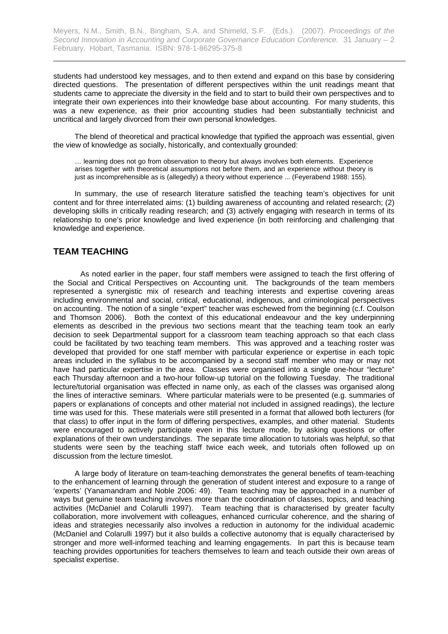students had understood key messages, and to then extend and expand on this base by considering directed questions. The presentation of different perspectives within the unit readings meant that students came to appreciate the diversity in the field and to start to build their own perspectives and to integrate their own experiences into their knowledge base about accounting. For many students, this was a new experience, as their prior accounting studies had been substantially technicist and uncritical and largely divorced from their own personal knowledges.

The blend of theoretical and practical knowledge that typified the approach was essential, given the view of knowledge as socially, historically, and contextually grounded:

… learning does not go from observation to theory but always involves both elements. Experience arises together with theoretical assumptions not before them, and an experience without theory is just as incomprehensible as is (allegedly) a theory without experience ... (Feyerabend 1988: 155).

In summary, the use of research literature satisfied the teaching team's objectives for unit content and for three interrelated aims: (1) building awareness of accounting and related research; (2) developing skills in critically reading research; and (3) actively engaging with research in terms of its relationship to one's prior knowledge and lived experience (in both reinforcing and challenging that knowledge and experience.

## **TEAM TEACHING**

As noted earlier in the paper, four staff members were assigned to teach the first offering of the Social and Critical Perspectives on Accounting unit. The backgrounds of the team members represented a synergistic mix of research and teaching interests and expertise covering areas including environmental and social, critical, educational, indigenous, and criminological perspectives on accounting. The notion of a single "expert" teacher was eschewed from the beginning (c.f. Coulson and Thomson 2006). Both the context of this educational endeavour and the key underpinning elements as described in the previous two sections meant that the teaching team took an early decision to seek Departmental support for a classroom team teaching approach so that each class could be facilitated by two teaching team members. This was approved and a teaching roster was developed that provided for one staff member with particular experience or expertise in each topic areas included in the syllabus to be accompanied by a second staff member who may or may not have had particular expertise in the area. Classes were organised into a single one-hour "lecture" each Thursday afternoon and a two-hour follow-up tutorial on the following Tuesday. The traditional lecture/tutorial organisation was effected in name only, as each of the classes was organised along the lines of interactive seminars. Where particular materials were to be presented (e.g. summaries of papers or explanations of concepts and other material not included in assigned readings), the lecture time was used for this. These materials were still presented in a format that allowed both lecturers (for that class) to offer input in the form of differing perspectives, examples, and other material. Students were encouraged to actively participate even in this lecture mode, by asking questions or offer explanations of their own understandings. The separate time allocation to tutorials was helpful, so that students were seen by the teaching staff twice each week, and tutorials often followed up on discussion from the lecture timeslot.

A large body of literature on team-teaching demonstrates the general benefits of team-teaching to the enhancement of learning through the generation of student interest and exposure to a range of 'experts' (Yanamandram and Noble 2006: 49). Team teaching may be approached in a number of ways but genuine team teaching involves more than the coordination of classes, topics, and teaching activities (McDaniel and Colarulli 1997). Team teaching that is characterised by greater faculty collaboration, more involvement with colleagues, enhanced curricular coherence, and the sharing of ideas and strategies necessarily also involves a reduction in autonomy for the individual academic (McDaniel and Colarulli 1997) but it also builds a collective autonomy that is equally characterised by stronger and more well-informed teaching and learning engagements. In part this is because team teaching provides opportunities for teachers themselves to learn and teach outside their own areas of specialist expertise.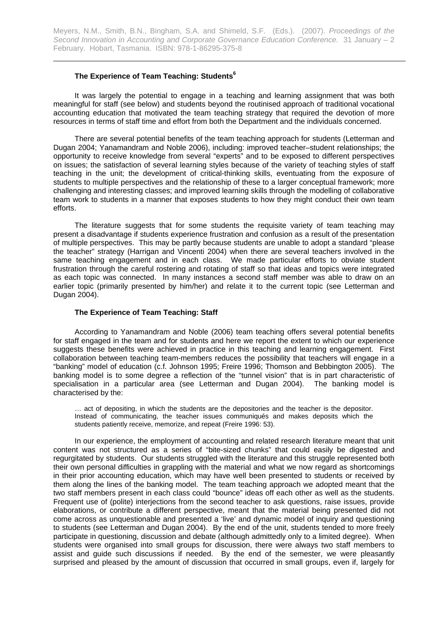#### **The Experience of Team Teaching: Students<sup>6</sup>**

It was largely the potential to engage in a teaching and learning assignment that was both meaningful for staff (see below) and students beyond the routinised approach of traditional vocational accounting education that motivated the team teaching strategy that required the devotion of more resources in terms of staff time and effort from both the Department and the individuals concerned.

There are several potential benefits of the team teaching approach for students (Letterman and Dugan 2004; Yanamandram and Noble 2006), including: improved teacher–student relationships; the opportunity to receive knowledge from several "experts" and to be exposed to different perspectives on issues; the satisfaction of several learning styles because of the variety of teaching styles of staff teaching in the unit; the development of critical-thinking skills, eventuating from the exposure of students to multiple perspectives and the relationship of these to a larger conceptual framework; more challenging and interesting classes; and improved learning skills through the modelling of collaborative team work to students in a manner that exposes students to how they might conduct their own team efforts.

The literature suggests that for some students the requisite variety of team teaching may present a disadvantage if students experience frustration and confusion as a result of the presentation of multiple perspectives. This may be partly because students are unable to adopt a standard "please the teacher" strategy (Harrigan and Vincenti 2004) when there are several teachers involved in the same teaching engagement and in each class. We made particular efforts to obviate student frustration through the careful rostering and rotating of staff so that ideas and topics were integrated as each topic was connected. In many instances a second staff member was able to draw on an earlier topic (primarily presented by him/her) and relate it to the current topic (see Letterman and Dugan 2004).

#### **The Experience of Team Teaching: Staff**

According to Yanamandram and Noble (2006) team teaching offers several potential benefits for staff engaged in the team and for students and here we report the extent to which our experience suggests these benefits were achieved in practice in this teaching and learning engagement. First collaboration between teaching team-members reduces the possibility that teachers will engage in a "banking" model of education (c.f. Johnson 1995; Freire 1996; Thomson and Bebbington 2005). The banking model is to some degree a reflection of the "tunnel vision" that is in part characteristic of specialisation in a particular area (see Letterman and Dugan 2004). The banking model is characterised by the:

… act of depositing, in which the students are the depositories and the teacher is the depositor. Instead of communicating, the teacher issues communiqués and makes deposits which the students patiently receive, memorize, and repeat (Freire 1996: 53).

In our experience, the employment of accounting and related research literature meant that unit content was not structured as a series of "bite-sized chunks" that could easily be digested and regurgitated by students. Our students struggled with the literature and this struggle represented both their own personal difficulties in grappling with the material and what we now regard as shortcomings in their prior accounting education, which may have well been presented to students or received by them along the lines of the banking model. The team teaching approach we adopted meant that the two staff members present in each class could "bounce" ideas off each other as well as the students. Frequent use of (polite) interjections from the second teacher to ask questions, raise issues, provide elaborations, or contribute a different perspective, meant that the material being presented did not come across as unquestionable and presented a 'live' and dynamic model of inquiry and questioning to students (see Letterman and Dugan 2004). By the end of the unit, students tended to more freely participate in questioning, discussion and debate (although admittedly only to a limited degree). When students were organised into small groups for discussion, there were always two staff members to assist and guide such discussions if needed. By the end of the semester, we were pleasantly surprised and pleased by the amount of discussion that occurred in small groups, even if, largely for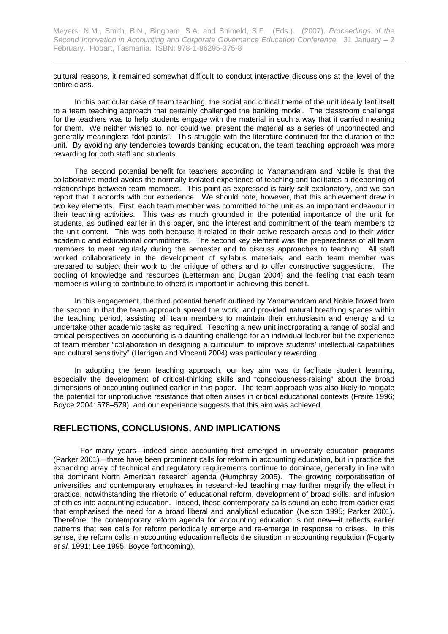cultural reasons, it remained somewhat difficult to conduct interactive discussions at the level of the entire class.

In this particular case of team teaching, the social and critical theme of the unit ideally lent itself to a team teaching approach that certainly challenged the banking model. The classroom challenge for the teachers was to help students engage with the material in such a way that it carried meaning for them. We neither wished to, nor could we, present the material as a series of unconnected and generally meaningless "dot points". This struggle with the literature continued for the duration of the unit. By avoiding any tendencies towards banking education, the team teaching approach was more rewarding for both staff and students.

The second potential benefit for teachers according to Yanamandram and Noble is that the collaborative model avoids the normally isolated experience of teaching and facilitates a deepening of relationships between team members. This point as expressed is fairly self-explanatory, and we can report that it accords with our experience. We should note, however, that this achievement drew in two key elements. First, each team member was committed to the unit as an important endeavour in their teaching activities. This was as much grounded in the potential importance of the unit for students, as outlined earlier in this paper, and the interest and commitment of the team members to the unit content. This was both because it related to their active research areas and to their wider academic and educational commitments. The second key element was the preparedness of all team members to meet regularly during the semester and to discuss approaches to teaching. All staff worked collaboratively in the development of syllabus materials, and each team member was prepared to subject their work to the critique of others and to offer constructive suggestions. The pooling of knowledge and resources (Letterman and Dugan 2004) and the feeling that each team member is willing to contribute to others is important in achieving this benefit.

In this engagement, the third potential benefit outlined by Yanamandram and Noble flowed from the second in that the team approach spread the work, and provided natural breathing spaces within the teaching period, assisting all team members to maintain their enthusiasm and energy and to undertake other academic tasks as required. Teaching a new unit incorporating a range of social and critical perspectives on accounting is a daunting challenge for an individual lecturer but the experience of team member "collaboration in designing a curriculum to improve students' intellectual capabilities and cultural sensitivity" (Harrigan and Vincenti 2004) was particularly rewarding.

In adopting the team teaching approach, our key aim was to facilitate student learning, especially the development of critical-thinking skills and "consciousness-raising" about the broad dimensions of accounting outlined earlier in this paper. The team approach was also likely to mitigate the potential for unproductive resistance that often arises in critical educational contexts (Freire 1996; Boyce 2004: 578–579), and our experience suggests that this aim was achieved.

## **REFLECTIONS, CONCLUSIONS, AND IMPLICATIONS**

For many years—indeed since accounting first emerged in university education programs (Parker 2001)—there have been prominent calls for reform in accounting education, but in practice the expanding array of technical and regulatory requirements continue to dominate, generally in line with the dominant North American research agenda (Humphrey 2005). The growing corporatisation of universities and contemporary emphases in research-led teaching may further magnify the effect in practice, notwithstanding the rhetoric of educational reform, development of broad skills, and infusion of ethics into accounting education. Indeed, these contemporary calls sound an echo from earlier eras that emphasised the need for a broad liberal and analytical education (Nelson 1995; Parker 2001). Therefore, the contemporary reform agenda for accounting education is not new—it reflects earlier patterns that see calls for reform periodically emerge and re-emerge in response to crises. In this sense, the reform calls in accounting education reflects the situation in accounting regulation (Fogarty *et al.* 1991; Lee 1995; Boyce forthcoming).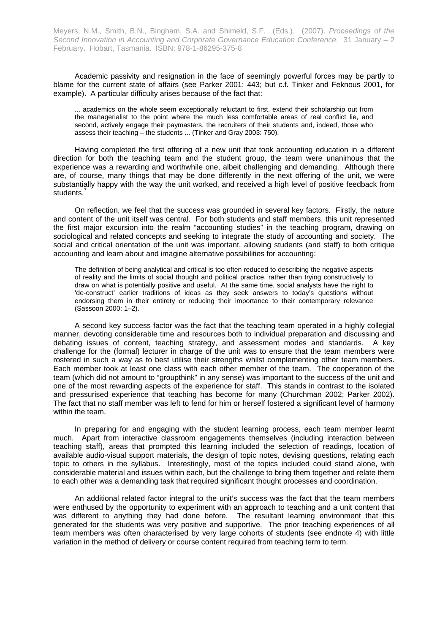Academic passivity and resignation in the face of seemingly powerful forces may be partly to blame for the current state of affairs (see Parker 2001: 443; but c.f. Tinker and Feknous 2001, for example). A particular difficulty arises because of the fact that:

... academics on the whole seem exceptionally reluctant to first, extend their scholarship out from the managerialist to the point where the much less comfortable areas of real conflict lie, and second, actively engage their paymasters, the recruiters of their students and, indeed, those who assess their teaching – the students ... (Tinker and Gray 2003: 750).

Having completed the first offering of a new unit that took accounting education in a different direction for both the teaching team and the student group, the team were unanimous that the experience was a rewarding and worthwhile one, albeit challenging and demanding. Although there are, of course, many things that may be done differently in the next offering of the unit, we were substantially happy with the way the unit worked, and received a high level of positive feedback from students.<sup>7</sup>

On reflection, we feel that the success was grounded in several key factors. Firstly, the nature and content of the unit itself was central. For both students and staff members, this unit represented the first major excursion into the realm "accounting studies" in the teaching program, drawing on sociological and related concepts and seeking to integrate the study of accounting and society. The social and critical orientation of the unit was important, allowing students (and staff) to both critique accounting and learn about and imagine alternative possibilities for accounting:

The definition of being analytical and critical is too often reduced to describing the negative aspects of reality and the limits of social thought and political practice, rather than trying constructively to draw on what is potentially positive and useful. At the same time, social analysts have the right to 'de-construct' earlier traditions of ideas as they seek answers to today's questions without endorsing them in their entirety or reducing their importance to their contemporary relevance (Sassoon 2000: 1–2).

A second key success factor was the fact that the teaching team operated in a highly collegial manner, devoting considerable time and resources both to individual preparation and discussing and debating issues of content, teaching strategy, and assessment modes and standards. A key challenge for the (formal) lecturer in charge of the unit was to ensure that the team members were rostered in such a way as to best utilise their strengths whilst complementing other team members. Each member took at least one class with each other member of the team. The cooperation of the team (which did not amount to "groupthink" in any sense) was important to the success of the unit and one of the most rewarding aspects of the experience for staff. This stands in contrast to the isolated and pressurised experience that teaching has become for many (Churchman 2002; Parker 2002). The fact that no staff member was left to fend for him or herself fostered a significant level of harmony within the team.

In preparing for and engaging with the student learning process, each team member learnt much. Apart from interactive classroom engagements themselves (including interaction between teaching staff), areas that prompted this learning included the selection of readings, location of available audio-visual support materials, the design of topic notes, devising questions, relating each topic to others in the syllabus. Interestingly, most of the topics included could stand alone, with considerable material and issues within each, but the challenge to bring them together and relate them to each other was a demanding task that required significant thought processes and coordination.

An additional related factor integral to the unit's success was the fact that the team members were enthused by the opportunity to experiment with an approach to teaching and a unit content that was different to anything they had done before. The resultant learning environment that this generated for the students was very positive and supportive. The prior teaching experiences of all team members was often characterised by very large cohorts of students (see endnote 4) with little variation in the method of delivery or course content required from teaching term to term.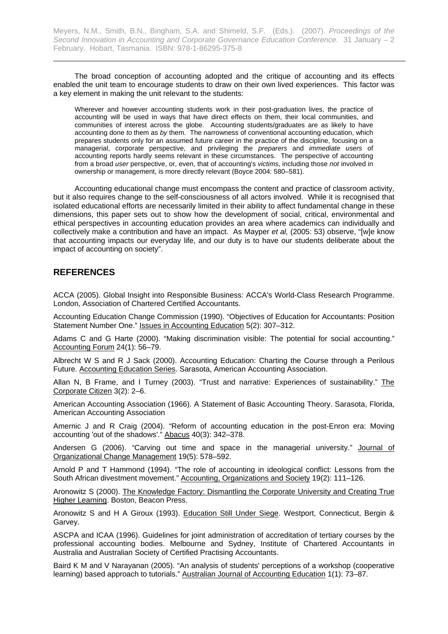The broad conception of accounting adopted and the critique of accounting and its effects enabled the unit team to encourage students to draw on their own lived experiences. This factor was a key element in making the unit relevant to the students:

Wherever and however accounting students work in their post-graduation lives, the practice of accounting will be used in ways that have direct effects on them, their local communities, and communities of interest across the globe. Accounting students/graduates are as likely to have accounting done *to* them as *by* them. The narrowness of conventional accounting education, which prepares students only for an assumed future career in the practice of the discipline, focusing on a managerial, corporate perspective, and privileging the *preparers* and *immediate users* of accounting reports hardly seems relevant in these circumstances. The perspective of accounting from a broad *user* perspective, or, even, that of accounting's *victims*, including those *not* involved in ownership or management, is more directly relevant (Boyce 2004: 580–581).

Accounting educational change must encompass the content and practice of classroom activity, but it also requires change to the self-consciousness of all actors involved. While it is recognised that isolated educational efforts are necessarily limited in their ability to affect fundamental change in these dimensions, this paper sets out to show how the development of social, critical, environmental and ethical perspectives in accounting education provides an area where academics can individually and collectively make a contribution and have an impact. As Mayper *et al,* (2005: 53) observe, "[w]e know that accounting impacts our everyday life, and our duty is to have our students deliberate about the impact of accounting on society".

## **REFERENCES**

ACCA (2005). Global Insight into Responsible Business: ACCA's World-Class Research Programme. London, Association of Chartered Certified Accountants.

Accounting Education Change Commission (1990). "Objectives of Education for Accountants: Position Statement Number One." Issues in Accounting Education 5(2): 307–312.

Adams C and G Harte (2000). "Making discrimination visible: The potential for social accounting." Accounting Forum 24(1): 56–79.

Albrecht W S and R J Sack (2000). Accounting Education: Charting the Course through a Perilous Future. Accounting Education Series. Sarasota, American Accounting Association.

Allan N, B Frame, and I Turney (2003). "Trust and narrative: Experiences of sustainability." The Corporate Citizen 3(2): 2–6.

American Accounting Association (1966). A Statement of Basic Accounting Theory. Sarasota, Florida, American Accounting Association

Amernic J and R Craig (2004). "Reform of accounting education in the post-Enron era: Moving accounting 'out of the shadows'." Abacus 40(3): 342–378.

Andersen G (2006). "Carving out time and space in the managerial university." Journal of Organizational Change Management 19(5): 578–592.

Arnold P and T Hammond (1994). "The role of accounting in ideological conflict: Lessons from the South African divestment movement." Accounting, Organizations and Society 19(2): 111–126.

Aronowitz S (2000). The Knowledge Factory: Dismantling the Corporate University and Creating True Higher Learning. Boston, Beacon Press.

Aronowitz S and H A Giroux (1993). Education Still Under Siege. Westport, Connecticut, Bergin & Garvey.

ASCPA and ICAA (1996). Guidelines for joint administration of accreditation of tertiary courses by the professional accounting bodies. Melbourne and Sydney, Institute of Chartered Accountants in Australia and Australian Society of Certified Practising Accountants.

Baird K M and V Narayanan (2005). "An analysis of students' perceptions of a workshop (cooperative learning) based approach to tutorials." Australian Journal of Accounting Education 1(1): 73–87.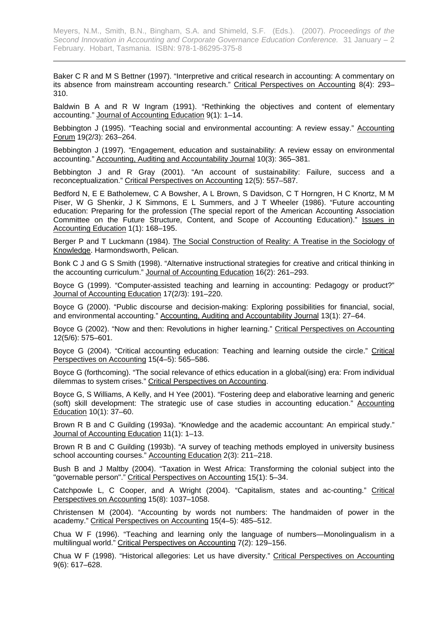Baker C R and M S Bettner (1997). "Interpretive and critical research in accounting: A commentary on its absence from mainstream accounting research." Critical Perspectives on Accounting 8(4): 293-310.

Baldwin B A and R W Ingram (1991). "Rethinking the objectives and content of elementary accounting." Journal of Accounting Education 9(1): 1–14.

Bebbington J (1995). "Teaching social and environmental accounting: A review essay." Accounting Forum 19(2/3): 263–264.

Bebbington J (1997). "Engagement, education and sustainability: A review essay on environmental accounting." Accounting, Auditing and Accountability Journal 10(3): 365–381.

Bebbington J and R Gray (2001). "An account of sustainability: Failure, success and a reconceptualization." Critical Perspectives on Accounting 12(5): 557–587.

Bedford N, E E Batholemew, C A Bowsher, A L Brown, S Davidson, C T Horngren, H C Knortz, M M Piser, W G Shenkir, J K Simmons, E L Summers, and J T Wheeler (1986). "Future accounting education: Preparing for the profession (The special report of the American Accounting Association Committee on the Future Structure, Content, and Scope of Accounting Education)." Issues in Accounting Education 1(1): 168–195.

Berger P and T Luckmann (1984). The Social Construction of Reality: A Treatise in the Sociology of Knowledge. Harmondsworth, Pelican.

Bonk C J and G S Smith (1998). "Alternative instructional strategies for creative and critical thinking in the accounting curriculum." Journal of Accounting Education 16(2): 261–293.

Boyce G (1999). "Computer-assisted teaching and learning in accounting: Pedagogy or product?" Journal of Accounting Education 17(2/3): 191–220.

Boyce G (2000). "Public discourse and decision-making: Exploring possibilities for financial, social, and environmental accounting." Accounting, Auditing and Accountability Journal 13(1): 27–64.

Boyce G (2002). "Now and then: Revolutions in higher learning." Critical Perspectives on Accounting 12(5/6): 575–601.

Boyce G (2004). "Critical accounting education: Teaching and learning outside the circle." Critical Perspectives on Accounting 15(4–5): 565–586.

Boyce G (forthcoming). "The social relevance of ethics education in a global(ising) era: From individual dilemmas to system crises." Critical Perspectives on Accounting.

Boyce G, S Williams, A Kelly, and H Yee (2001). "Fostering deep and elaborative learning and generic (soft) skill development: The strategic use of case studies in accounting education." Accounting Education 10(1): 37–60.

Brown R B and C Guilding (1993a). "Knowledge and the academic accountant: An empirical study." Journal of Accounting Education 11(1): 1–13.

Brown R B and C Guilding (1993b). "A survey of teaching methods employed in university business school accounting courses." Accounting Education 2(3): 211–218.

Bush B and J Maltby (2004). "Taxation in West Africa: Transforming the colonial subject into the "governable person"." Critical Perspectives on Accounting 15(1): 5–34.

Catchpowle L, C Cooper, and A Wright (2004). "Capitalism, states and ac-counting." Critical Perspectives on Accounting 15(8): 1037–1058.

Christensen M (2004). "Accounting by words not numbers: The handmaiden of power in the academy." Critical Perspectives on Accounting 15(4–5): 485–512.

Chua W F (1996). "Teaching and learning only the language of numbers—Monolingualism in a multilingual world." Critical Perspectives on Accounting 7(2): 129–156.

Chua W F (1998). "Historical allegories: Let us have diversity." Critical Perspectives on Accounting 9(6): 617–628.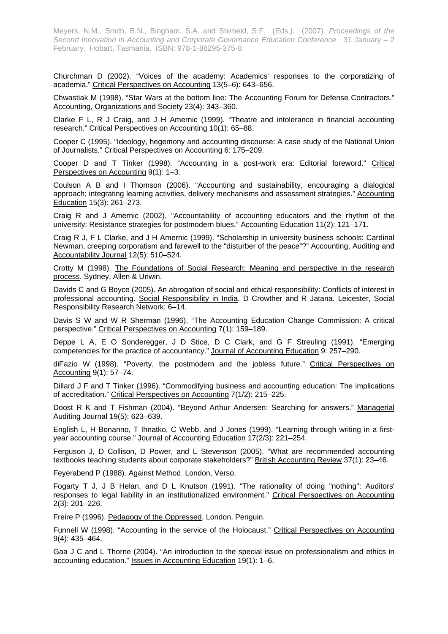Churchman D (2002). "Voices of the academy: Academics' responses to the corporatizing of academia." Critical Perspectives on Accounting 13(5–6): 643–656.

Chwastiak M (1998). "Star Wars at the bottom line: The Accounting Forum for Defense Contractors." Accounting, Organizations and Society 23(4): 343–360.

Clarke F L, R J Craig, and J H Amernic (1999). "Theatre and intolerance in financial accounting research." Critical Perspectives on Accounting 10(1): 65–88.

Cooper C (1995). "Ideology, hegemony and accounting discourse: A case study of the National Union of Journalists." Critical Perspectives on Accounting 6: 175–209.

Cooper D and T Tinker (1998). "Accounting in a post-work era: Editorial foreword." Critical Perspectives on Accounting 9(1): 1–3.

Coulson A B and I Thomson (2006). "Accounting and sustainability, encouraging a dialogical approach; integrating learning activities, delivery mechanisms and assessment strategies." Accounting Education 15(3): 261–273.

Craig R and J Amernic (2002). "Accountability of accounting educators and the rhythm of the university: Resistance strategies for postmodern blues." Accounting Education 11(2): 121–171.

Craig R J, F L Clarke, and J H Amernic (1999). "Scholarship in university business schools: Cardinal Newman, creeping corporatism and farewell to the "disturber of the peace"?" Accounting, Auditing and Accountability Journal 12(5): 510–524.

Crotty M (1998). The Foundations of Social Research: Meaning and perspective in the research process. Sydney, Allen & Unwin.

Davids C and G Boyce (2005). An abrogation of social and ethical responsibility: Conflicts of interest in professional accounting. Social Responsibility in India. D Crowther and R Jatana. Leicester, Social Responsibility Research Network: 6–14.

Davis S W and W R Sherman (1996). "The Accounting Education Change Commission: A critical perspective." Critical Perspectives on Accounting 7(1): 159–189.

Deppe L A, E O Sonderegger, J D Stice, D C Clark, and G F Streuling (1991). "Emerging competencies for the practice of accountancy." Journal of Accounting Education 9: 257–290.

diFazio W (1998). "Poverty, the postmodern and the jobless future." Critical Perspectives on Accounting 9(1): 57–74.

Dillard J F and T Tinker (1996). "Commodifying business and accounting education: The implications of accreditation." Critical Perspectives on Accounting 7(1/2): 215–225.

Doost R K and T Fishman (2004). "Beyond Arthur Andersen: Searching for answers." Managerial Auditing Journal 19(5): 623–639.

English L, H Bonanno, T Ihnatko, C Webb, and J Jones (1999). "Learning through writing in a firstyear accounting course." Journal of Accounting Education 17(2/3): 221–254.

Ferguson J, D Collison, D Power, and L Stevenson (2005). "What are recommended accounting textbooks teaching students about corporate stakeholders?" British Accounting Review 37(1): 23–46.

Feyerabend P (1988). Against Method. London, Verso.

Fogarty T J, J B Helan, and D L Knutson (1991). "The rationality of doing "nothing": Auditors' responses to legal liability in an institutionalized environment." Critical Perspectives on Accounting 2(3): 201–226.

Freire P (1996). Pedagogy of the Oppressed. London, Penguin.

Funnell W (1998). "Accounting in the service of the Holocaust." Critical Perspectives on Accounting 9(4): 435–464.

Gaa J C and L Thorne (2004). "An introduction to the special issue on professionalism and ethics in accounting education." Issues in Accounting Education 19(1): 1–6.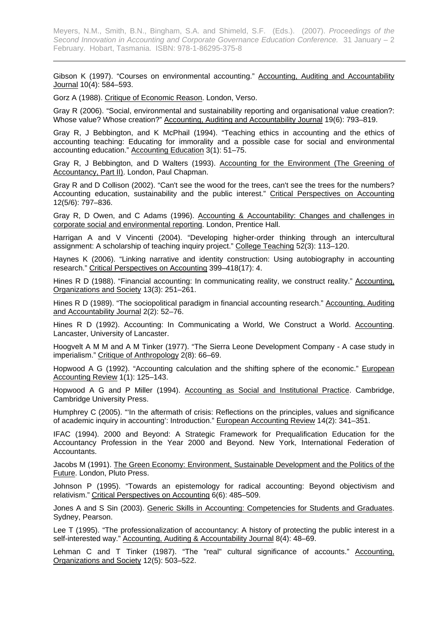Gibson K (1997). "Courses on environmental accounting." Accounting, Auditing and Accountability Journal 10(4): 584–593.

Gorz A (1988). Critique of Economic Reason. London, Verso.

Gray R (2006). "Social, environmental and sustainability reporting and organisational value creation?: Whose value? Whose creation?" Accounting, Auditing and Accountability Journal 19(6): 793–819.

Gray R, J Bebbington, and K McPhail (1994). "Teaching ethics in accounting and the ethics of accounting teaching: Educating for immorality and a possible case for social and environmental accounting education." Accounting Education 3(1): 51–75.

Gray R, J Bebbington, and D Walters (1993). Accounting for the Environment (The Greening of Accountancy, Part II). London, Paul Chapman.

Gray R and D Collison (2002). "Can't see the wood for the trees, can't see the trees for the numbers? Accounting education, sustainability and the public interest." Critical Perspectives on Accounting 12(5/6): 797–836.

Gray R, D Owen, and C Adams (1996). Accounting & Accountability: Changes and challenges in corporate social and environmental reporting. London, Prentice Hall.

Harrigan A and V Vincenti (2004). "Developing higher-order thinking through an intercultural assignment: A scholarship of teaching inquiry project." College Teaching 52(3): 113–120.

Haynes K (2006). "Linking narrative and identity construction: Using autobiography in accounting research." Critical Perspectives on Accounting 399–418(17): 4.

Hines R D (1988). "Financial accounting: In communicating reality, we construct reality." Accounting, Organizations and Society 13(3): 251–261.

Hines R D (1989). "The sociopolitical paradigm in financial accounting research." Accounting, Auditing and Accountability Journal 2(2): 52–76.

Hines R D (1992). Accounting: In Communicating a World, We Construct a World. Accounting. Lancaster, University of Lancaster.

Hoogvelt A M M and A M Tinker (1977). "The Sierra Leone Development Company - A case study in imperialism." Critique of Anthropology 2(8): 66–69.

Hopwood A G (1992). "Accounting calculation and the shifting sphere of the economic." European Accounting Review 1(1): 125–143.

Hopwood A G and P Miller (1994). Accounting as Social and Institutional Practice. Cambridge, Cambridge University Press.

Humphrey C (2005). "'In the aftermath of crisis: Reflections on the principles, values and significance of academic inquiry in accounting': Introduction." European Accounting Review 14(2): 341–351.

IFAC (1994). 2000 and Beyond: A Strategic Framework for Prequalification Education for the Accountancy Profession in the Year 2000 and Beyond. New York, International Federation of Accountants.

Jacobs M (1991). The Green Economy: Environment, Sustainable Development and the Politics of the Future. London, Pluto Press.

Johnson P (1995). "Towards an epistemology for radical accounting: Beyond objectivism and relativism." Critical Perspectives on Accounting 6(6): 485–509.

Jones A and S Sin (2003). Generic Skills in Accounting: Competencies for Students and Graduates. Sydney, Pearson.

Lee T (1995). "The professionalization of accountancy: A history of protecting the public interest in a self-interested way." Accounting, Auditing & Accountability Journal 8(4): 48–69.

Lehman C and T Tinker (1987). "The "real" cultural significance of accounts." Accounting, Organizations and Society 12(5): 503–522.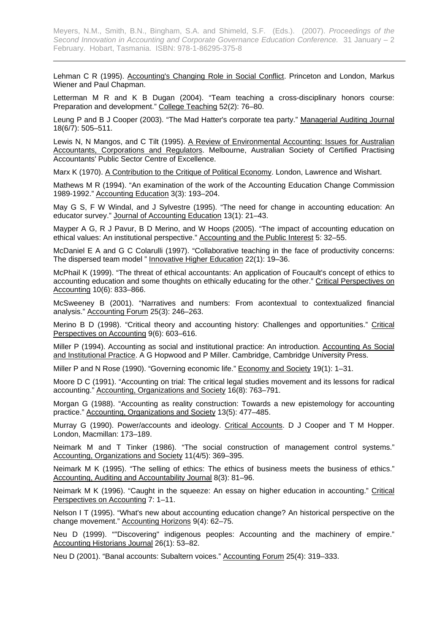Lehman C R (1995). Accounting's Changing Role in Social Conflict. Princeton and London, Markus Wiener and Paul Chapman.

Letterman M R and K B Dugan (2004). "Team teaching a cross-disciplinary honors course: Preparation and development." College Teaching 52(2): 76–80.

Leung P and B J Cooper (2003). "The Mad Hatter's corporate tea party." Managerial Auditing Journal 18(6/7): 505–511.

Lewis N, N Mangos, and C Tilt (1995). A Review of Environmental Accounting: Issues for Australian Accountants, Corporations and Regulators. Melbourne, Australian Society of Certified Practising Accountants' Public Sector Centre of Excellence.

Marx K (1970). A Contribution to the Critique of Political Economy. London, Lawrence and Wishart.

Mathews M R (1994). "An examination of the work of the Accounting Education Change Commission 1989-1992." Accounting Education 3(3): 193–204.

May G S, F W Windal, and J Sylvestre (1995). "The need for change in accounting education: An educator survey." Journal of Accounting Education 13(1): 21–43.

Mayper A G, R J Pavur, B D Merino, and W Hoops (2005). "The impact of accounting education on ethical values: An institutional perspective." Accounting and the Public Interest 5: 32–55.

McDaniel E A and G C Colarulli (1997). "Collaborative teaching in the face of productivity concerns: The dispersed team model " Innovative Higher Education 22(1): 19–36.

McPhail K (1999). "The threat of ethical accountants: An application of Foucault's concept of ethics to accounting education and some thoughts on ethically educating for the other." Critical Perspectives on Accounting 10(6): 833–866.

McSweeney B (2001). "Narratives and numbers: From acontextual to contextualized financial analysis." Accounting Forum 25(3): 246–263.

Merino B D (1998). "Critical theory and accounting history: Challenges and opportunities." Critical Perspectives on Accounting 9(6): 603–616.

Miller P (1994). Accounting as social and institutional practice: An introduction. Accounting As Social and Institutional Practice. A G Hopwood and P Miller. Cambridge, Cambridge University Press.

Miller P and N Rose (1990). "Governing economic life." Economy and Society 19(1): 1–31.

Moore D C (1991). "Accounting on trial: The critical legal studies movement and its lessons for radical accounting." Accounting, Organizations and Society 16(8): 763–791.

Morgan G (1988). "Accounting as reality construction: Towards a new epistemology for accounting practice." Accounting, Organizations and Society 13(5): 477–485.

Murray G (1990). Power/accounts and ideology. Critical Accounts. D J Cooper and T M Hopper. London, Macmillan: 173–189.

Neimark M and T Tinker (1986). "The social construction of management control systems." Accounting, Organizations and Society 11(4/5): 369–395.

Neimark M K (1995). "The selling of ethics: The ethics of business meets the business of ethics." Accounting, Auditing and Accountability Journal 8(3): 81–96.

Neimark M K (1996). "Caught in the squeeze: An essay on higher education in accounting." Critical Perspectives on Accounting 7: 1–11.

Nelson I T (1995). "What's new about accounting education change? An historical perspective on the change movement." Accounting Horizons 9(4): 62–75.

Neu D (1999). ""Discovering" indigenous peoples: Accounting and the machinery of empire." Accounting Historians Journal 26(1): 53–82.

Neu D (2001). "Banal accounts: Subaltern voices." Accounting Forum 25(4): 319–333.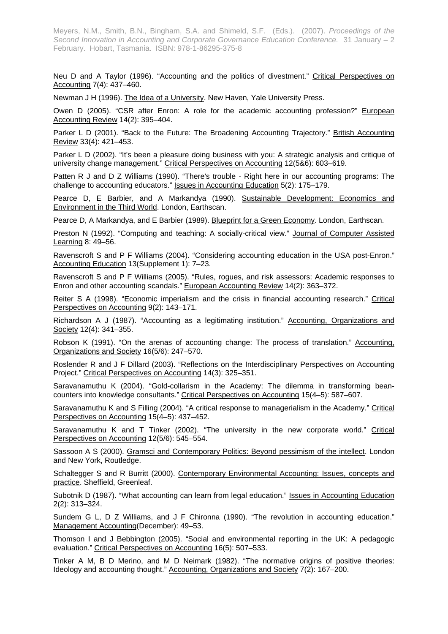Neu D and A Taylor (1996). "Accounting and the politics of divestment." Critical Perspectives on Accounting 7(4): 437–460.

Newman J H (1996). The Idea of a University. New Haven, Yale University Press.

Owen D (2005). "CSR after Enron: A role for the academic accounting profession?" European Accounting Review 14(2): 395–404.

Parker L D (2001). "Back to the Future: The Broadening Accounting Trajectory." British Accounting Review 33(4): 421–453.

Parker L D (2002). "It's been a pleasure doing business with you: A strategic analysis and critique of university change management." Critical Perspectives on Accounting 12(5&6): 603–619.

Patten R J and D Z Williams (1990). "There's trouble - Right here in our accounting programs: The challenge to accounting educators." **Issues in Accounting Education** 5(2): 175-179.

Pearce D, E Barbier, and A Markandya (1990). Sustainable Development: Economics and Environment in the Third World. London, Earthscan.

Pearce D, A Markandya, and E Barbier (1989). Blueprint for a Green Economy. London, Earthscan.

Preston N (1992). "Computing and teaching: A socially-critical view." Journal of Computer Assisted Learning 8: 49–56.

Ravenscroft S and P F Williams (2004). "Considering accounting education in the USA post-Enron." Accounting Education 13(Supplement 1): 7–23.

Ravenscroft S and P F Williams (2005). "Rules, rogues, and risk assessors: Academic responses to Enron and other accounting scandals." European Accounting Review 14(2): 363–372.

Reiter S A (1998). "Economic imperialism and the crisis in financial accounting research." Critical Perspectives on Accounting 9(2): 143–171.

Richardson A J (1987). "Accounting as a legitimating institution." Accounting, Organizations and Society 12(4): 341–355.

Robson K (1991). "On the arenas of accounting change: The process of translation." Accounting, Organizations and Society 16(5/6): 247–570.

Roslender R and J F Dillard (2003). "Reflections on the Interdisciplinary Perspectives on Accounting Project." Critical Perspectives on Accounting 14(3): 325–351.

Saravanamuthu K (2004). "Gold-collarism in the Academy: The dilemma in transforming beancounters into knowledge consultants." Critical Perspectives on Accounting 15(4–5): 587–607.

Saravanamuthu K and S Filling (2004). "A critical response to managerialism in the Academy." Critical Perspectives on Accounting 15(4–5): 437–452.

Saravanamuthu K and T Tinker (2002). "The university in the new corporate world." Critical Perspectives on Accounting 12(5/6): 545–554.

Sassoon A S (2000). Gramsci and Contemporary Politics: Beyond pessimism of the intellect. London and New York, Routledge.

Schaltegger S and R Burritt (2000). Contemporary Environmental Accounting: Issues, concepts and practice. Sheffield, Greenleaf.

Subotnik D (1987). "What accounting can learn from legal education." Issues in Accounting Education 2(2): 313–324.

Sundem G L, D Z Williams, and J F Chironna (1990). "The revolution in accounting education." Management Accounting(December): 49–53.

Thomson I and J Bebbington (2005). "Social and environmental reporting in the UK: A pedagogic evaluation." Critical Perspectives on Accounting 16(5): 507–533.

Tinker A M, B D Merino, and M D Neimark (1982). "The normative origins of positive theories: Ideology and accounting thought." Accounting, Organizations and Society 7(2): 167–200.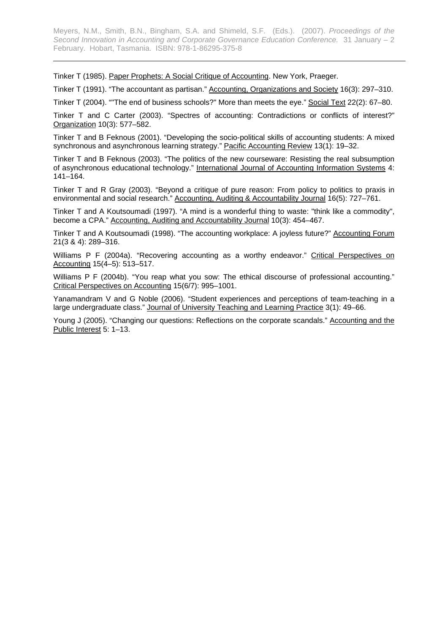Tinker T (1985). Paper Prophets: A Social Critique of Accounting. New York, Praeger.

Tinker T (1991). "The accountant as partisan." Accounting, Organizations and Society 16(3): 297–310.

Tinker T (2004). ""The end of business schools?" More than meets the eye." Social Text 22(2): 67–80.

Tinker T and C Carter (2003). "Spectres of accounting: Contradictions or conflicts of interest?" Organization 10(3): 577–582.

Tinker T and B Feknous (2001). "Developing the socio-political skills of accounting students: A mixed synchronous and asynchronous learning strategy." Pacific Accounting Review 13(1): 19–32.

Tinker T and B Feknous (2003). "The politics of the new courseware: Resisting the real subsumption of asynchronous educational technology." International Journal of Accounting Information Systems 4: 141–164.

Tinker T and R Gray (2003). "Beyond a critique of pure reason: From policy to politics to praxis in environmental and social research." Accounting, Auditing & Accountability Journal 16(5): 727–761.

Tinker T and A Koutsoumadi (1997). "A mind is a wonderful thing to waste: "think like a commodity", become a CPA." Accounting, Auditing and Accountability Journal 10(3): 454–467.

Tinker T and A Koutsoumadi (1998). "The accounting workplace: A joyless future?" Accounting Forum 21(3 & 4): 289–316.

Williams P F (2004a). "Recovering accounting as a worthy endeavor." Critical Perspectives on Accounting 15(4–5): 513–517.

Williams P F (2004b). "You reap what you sow: The ethical discourse of professional accounting." Critical Perspectives on Accounting 15(6/7): 995–1001.

Yanamandram V and G Noble (2006). "Student experiences and perceptions of team-teaching in a large undergraduate class." Journal of University Teaching and Learning Practice 3(1): 49–66.

Young J (2005). "Changing our questions: Reflections on the corporate scandals." Accounting and the Public Interest 5: 1–13.